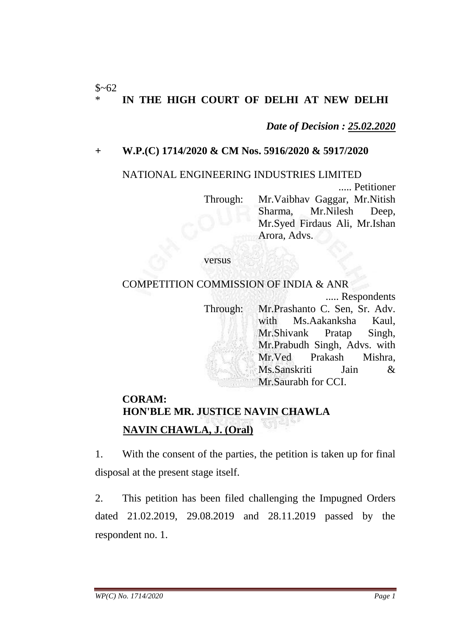#### $$~62$ IN THE HIGH COURT OF DELHI AT NEW DELHI

*Date of Decision : 25.02.2020*

## **+ W.P.(C) 1714/2020 & CM Nos. 5916/2020 & 5917/2020**

#### NATIONAL ENGINEERING INDUSTRIES LIMITED

..... Petitioner Through: Mr.Vaibhav Gaggar, Mr.Nitish Sharma, Mr.Nilesh Deep, Mr.Syed Firdaus Ali, Mr.Ishan Arora, Advs.

#### versus

### COMPETITION COMMISSION OF INDIA & ANR

..... Respondents

Through: Mr.Prashanto C. Sen, Sr. Adv. with Ms.Aakanksha Kaul, Mr.Shivank Pratap Singh, Mr.Prabudh Singh, Advs. with Mr.Ved Prakash Mishra, Ms.Sanskriti Jain & Mr.Saurabh for CCI.

# **CORAM: HON'BLE MR. JUSTICE NAVIN CHAWLA NAVIN CHAWLA, J. (Oral)**

1. With the consent of the parties, the petition is taken up for final disposal at the present stage itself.

2. This petition has been filed challenging the Impugned Orders dated 21.02.2019, 29.08.2019 and 28.11.2019 passed by the respondent no. 1.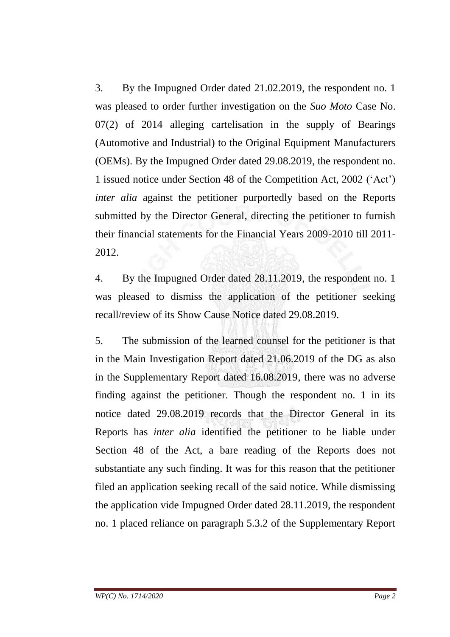3. By the Impugned Order dated 21.02.2019, the respondent no. 1 was pleased to order further investigation on the *Suo Moto* Case No. 07(2) of 2014 alleging cartelisation in the supply of Bearings (Automotive and Industrial) to the Original Equipment Manufacturers (OEMs). By the Impugned Order dated 29.08.2019, the respondent no. 1 issued notice under Section 48 of the Competition Act, 2002 ('Act') *inter alia* against the petitioner purportedly based on the Reports submitted by the Director General, directing the petitioner to furnish their financial statements for the Financial Years 2009-2010 till 2011- 2012.

4. By the Impugned Order dated 28.11.2019, the respondent no. 1 was pleased to dismiss the application of the petitioner seeking recall/review of its Show Cause Notice dated 29.08.2019.

5. The submission of the learned counsel for the petitioner is that in the Main Investigation Report dated 21.06.2019 of the DG as also in the Supplementary Report dated 16.08.2019, there was no adverse finding against the petitioner. Though the respondent no. 1 in its notice dated 29.08.2019 records that the Director General in its Reports has *inter alia* identified the petitioner to be liable under Section 48 of the Act, a bare reading of the Reports does not substantiate any such finding. It was for this reason that the petitioner filed an application seeking recall of the said notice. While dismissing the application vide Impugned Order dated 28.11.2019, the respondent no. 1 placed reliance on paragraph 5.3.2 of the Supplementary Report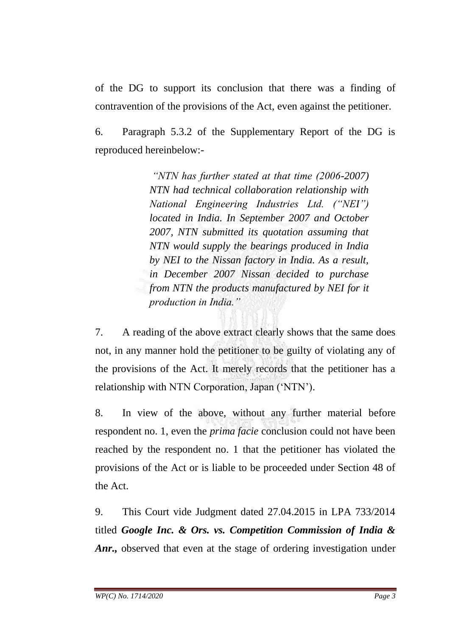of the DG to support its conclusion that there was a finding of contravention of the provisions of the Act, even against the petitioner.

6. Paragraph 5.3.2 of the Supplementary Report of the DG is reproduced hereinbelow:-

> *"NTN has further stated at that time (2006-2007) NTN had technical collaboration relationship with National Engineering Industries Ltd. ("NEI") located in India. In September 2007 and October 2007, NTN submitted its quotation assuming that NTN would supply the bearings produced in India by NEI to the Nissan factory in India. As a result, in December 2007 Nissan decided to purchase from NTN the products manufactured by NEI for it production in India."*

7. A reading of the above extract clearly shows that the same does not, in any manner hold the petitioner to be guilty of violating any of the provisions of the Act. It merely records that the petitioner has a relationship with NTN Corporation, Japan ('NTN').

8. In view of the above, without any further material before respondent no. 1, even the *prima facie* conclusion could not have been reached by the respondent no. 1 that the petitioner has violated the provisions of the Act or is liable to be proceeded under Section 48 of the Act.

9. This Court vide Judgment dated 27.04.2015 in LPA 733/2014 titled *Google Inc. & Ors. vs. Competition Commission of India & Anr.,* observed that even at the stage of ordering investigation under